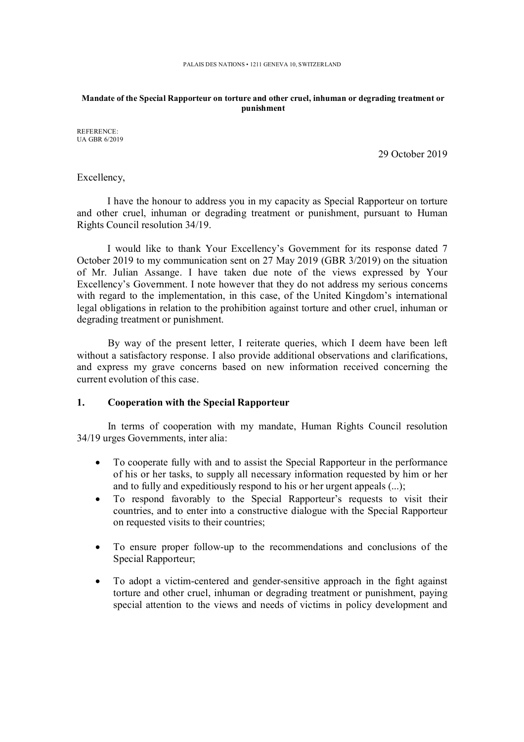#### **Mandate of the Special Rapporteur on torture and other cruel, inhuman or degrading treatment or punishment**

REFERENCE: UA GBR 6/2019

29 October 2019

Excellency,

I have the honour to address you in my capacity as Special Rapporteur on torture and other cruel, inhuman or degrading treatment or punishment, pursuant to Human Rights Council resolution 34/19.

I would like to thank Your Excellency's Government for its response dated 7 October 2019 to my communication sent on 27 May 2019 (GBR 3/2019) on the situation of Mr. Julian Assange. I have taken due note of the views expressed by Your Excellency's Government. I note however that they do not address my serious concerns with regard to the implementation, in this case, of the United Kingdom's international legal obligations in relation to the prohibition against torture and other cruel, inhuman or degrading treatment or punishment.

By way of the present letter, I reiterate queries, which I deem have been left without a satisfactory response. I also provide additional observations and clarifications, and express my grave concerns based on new information received concerning the current evolution of this case.

#### **1. Cooperation with the Special Rapporteur**

In terms of cooperation with my mandate, Human Rights Council resolution 34/19 urges Governments, inter alia:

- To cooperate fully with and to assist the Special Rapporteur in the performance of his or her tasks, to supply all necessary information requested by him or her and to fully and expeditiously respond to his or her urgent appeals (...);
- To respond favorably to the Special Rapporteur's requests to visit their countries, and to enter into a constructive dialogue with the Special Rapporteur on requested visits to their countries;
- To ensure proper follow-up to the recommendations and conclusions of the Special Rapporteur;
- To adopt a victim-centered and gender-sensitive approach in the fight against torture and other cruel, inhuman or degrading treatment or punishment, paying special attention to the views and needs of victims in policy development and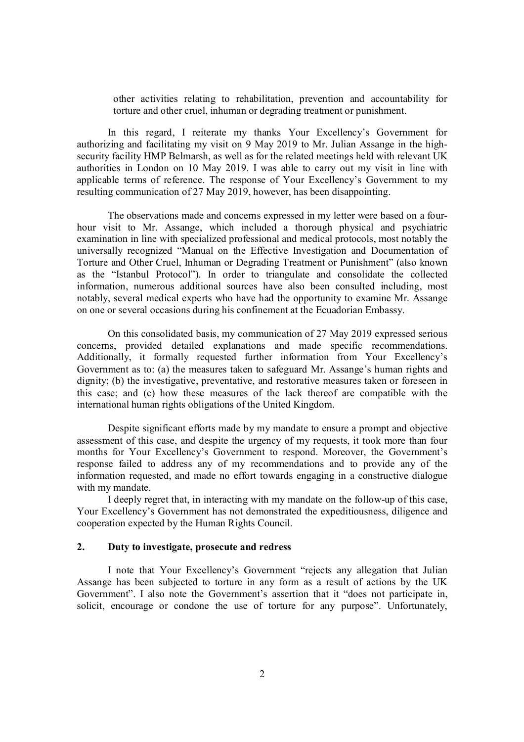other activities relating to rehabilitation, prevention and accountability for torture and other cruel, inhuman or degrading treatment or punishment.

In this regard, I reiterate my thanks Your Excellency's Government for authorizing and facilitating my visit on 9 May 2019 to Mr. Julian Assange in the highsecurity facility HMP Belmarsh, as well as for the related meetings held with relevant UK authorities in London on 10 May 2019. I was able to carry out my visit in line with applicable terms of reference. The response of Your Excellency's Government to my resulting communication of 27 May 2019, however, has been disappointing.

The observations made and concerns expressed in my letter were based on a fourhour visit to Mr. Assange, which included a thorough physical and psychiatric examination in line with specialized professional and medical protocols, most notably the universally recognized "Manual on the Effective Investigation and Documentation of Torture and Other Cruel, Inhuman or Degrading Treatment or Punishment" (also known as the "Istanbul Protocol"). In order to triangulate and consolidate the collected information, numerous additional sources have also been consulted including, most notably, several medical experts who have had the opportunity to examine Mr. Assange on one or several occasions during his confinement at the Ecuadorian Embassy.

On this consolidated basis, my communication of 27 May 2019 expressed serious concerns, provided detailed explanations and made specific recommendations. Additionally, it formally requested further information from Your Excellency's Government as to: (a) the measures taken to safeguard Mr. Assange's human rights and dignity; (b) the investigative, preventative, and restorative measures taken or foreseen in this case; and (c) how these measures of the lack thereof are compatible with the international human rights obligations of the United Kingdom.

Despite significant efforts made by my mandate to ensure a prompt and objective assessment of this case, and despite the urgency of my requests, it took more than four months for Your Excellency's Government to respond. Moreover, the Government's response failed to address any of my recommendations and to provide any of the information requested, and made no effort towards engaging in a constructive dialogue with my mandate.

I deeply regret that, in interacting with my mandate on the follow-up of this case, Your Excellency's Government has not demonstrated the expeditiousness, diligence and cooperation expected by the Human Rights Council.

## **2. Duty to investigate, prosecute and redress**

I note that Your Excellency's Government "rejects any allegation that Julian Assange has been subjected to torture in any form as a result of actions by the UK Government". I also note the Government's assertion that it "does not participate in, solicit, encourage or condone the use of torture for any purpose". Unfortunately,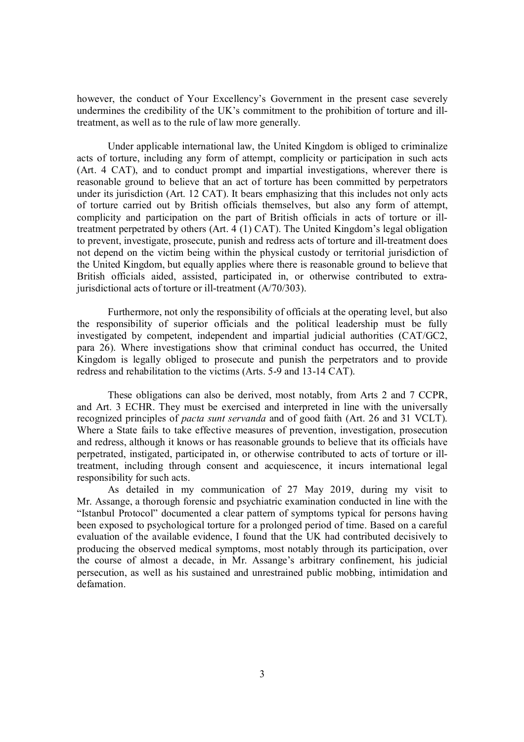however, the conduct of Your Excellency's Government in the present case severely undermines the credibility of the UK's commitment to the prohibition of torture and illtreatment, as well as to the rule of law more generally.

Under applicable international law, the United Kingdom is obliged to criminalize acts of torture, including any form of attempt, complicity or participation in such acts (Art. 4 CAT), and to conduct prompt and impartial investigations, wherever there is reasonable ground to believe that an act of torture has been committed by perpetrators under its jurisdiction (Art. 12 CAT). It bears emphasizing that this includes not only acts of torture carried out by British officials themselves, but also any form of attempt, complicity and participation on the part of British officials in acts of torture or illtreatment perpetrated by others (Art. 4 (1) CAT). The United Kingdom's legal obligation to prevent, investigate, prosecute, punish and redress acts of torture and ill-treatment does not depend on the victim being within the physical custody or territorial jurisdiction of the United Kingdom, but equally applies where there is reasonable ground to believe that British officials aided, assisted, participated in, or otherwise contributed to extrajurisdictional acts of torture or ill-treatment (A/70/303).

Furthermore, not only the responsibility of officials at the operating level, but also the responsibility of superior officials and the political leadership must be fully investigated by competent, independent and impartial judicial authorities (CAT/GC2, para 26). Where investigations show that criminal conduct has occurred, the United Kingdom is legally obliged to prosecute and punish the perpetrators and to provide redress and rehabilitation to the victims (Arts. 5-9 and 13-14 CAT).

These obligations can also be derived, most notably, from Arts 2 and 7 CCPR, and Art. 3 ECHR. They must be exercised and interpreted in line with the universally recognized principles of *pacta sunt servanda* and of good faith (Art. 26 and 31 VCLT). Where a State fails to take effective measures of prevention, investigation, prosecution and redress, although it knows or has reasonable grounds to believe that its officials have perpetrated, instigated, participated in, or otherwise contributed to acts of torture or illtreatment, including through consent and acquiescence, it incurs international legal responsibility for such acts.

As detailed in my communication of 27 May 2019, during my visit to Mr. Assange, a thorough forensic and psychiatric examination conducted in line with the "Istanbul Protocol" documented a clear pattern of symptoms typical for persons having been exposed to psychological torture for a prolonged period of time. Based on a careful evaluation of the available evidence, I found that the UK had contributed decisively to producing the observed medical symptoms, most notably through its participation, over the course of almost a decade, in Mr. Assange's arbitrary confinement, his judicial persecution, as well as his sustained and unrestrained public mobbing, intimidation and defamation.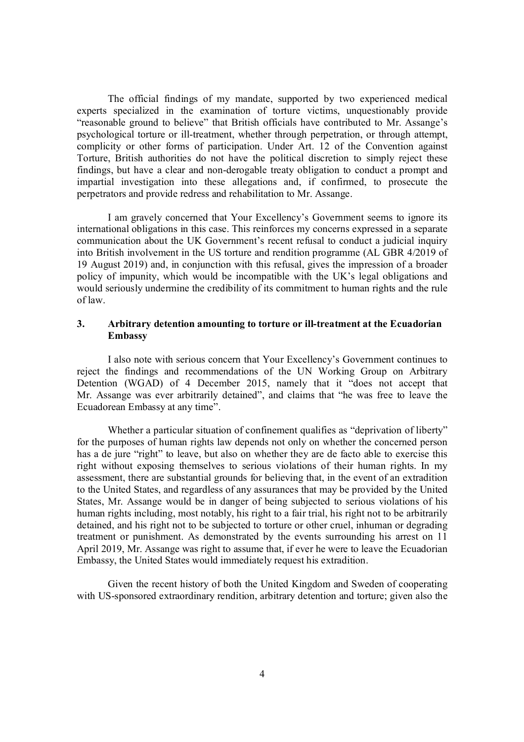The official findings of my mandate, supported by two experienced medical experts specialized in the examination of torture victims, unquestionably provide "reasonable ground to believe" that British officials have contributed to Mr. Assange's psychological torture or ill-treatment, whether through perpetration, or through attempt, complicity or other forms of participation. Under Art. 12 of the Convention against Torture, British authorities do not have the political discretion to simply reject these findings, but have a clear and non-derogable treaty obligation to conduct a prompt and impartial investigation into these allegations and, if confirmed, to prosecute the perpetrators and provide redress and rehabilitation to Mr. Assange.

I am gravely concerned that Your Excellency's Government seems to ignore its international obligations in this case. This reinforces my concerns expressed in a separate communication about the UK Government's recent refusal to conduct a judicial inquiry into British involvement in the US torture and rendition programme (AL GBR 4/2019 of 19 August 2019) and, in conjunction with this refusal, gives the impression of a broader policy of impunity, which would be incompatible with the UK's legal obligations and would seriously undermine the credibility of its commitment to human rights and the rule of law.

## **3. Arbitrary detention amounting to torture or ill-treatment at the Ecuadorian Embassy**

I also note with serious concern that Your Excellency's Government continues to reject the findings and recommendations of the UN Working Group on Arbitrary Detention (WGAD) of 4 December 2015, namely that it "does not accept that Mr. Assange was ever arbitrarily detained", and claims that "he was free to leave the Ecuadorean Embassy at any time".

Whether a particular situation of confinement qualifies as "deprivation of liberty" for the purposes of human rights law depends not only on whether the concerned person has a de jure "right" to leave, but also on whether they are de facto able to exercise this right without exposing themselves to serious violations of their human rights. In my assessment, there are substantial grounds for believing that, in the event of an extradition to the United States, and regardless of any assurances that may be provided by the United States, Mr. Assange would be in danger of being subjected to serious violations of his human rights including, most notably, his right to a fair trial, his right not to be arbitrarily detained, and his right not to be subjected to torture or other cruel, inhuman or degrading treatment or punishment. As demonstrated by the events surrounding his arrest on 11 April 2019, Mr. Assange was right to assume that, if ever he were to leave the Ecuadorian Embassy, the United States would immediately request his extradition.

Given the recent history of both the United Kingdom and Sweden of cooperating with US-sponsored extraordinary rendition, arbitrary detention and torture; given also the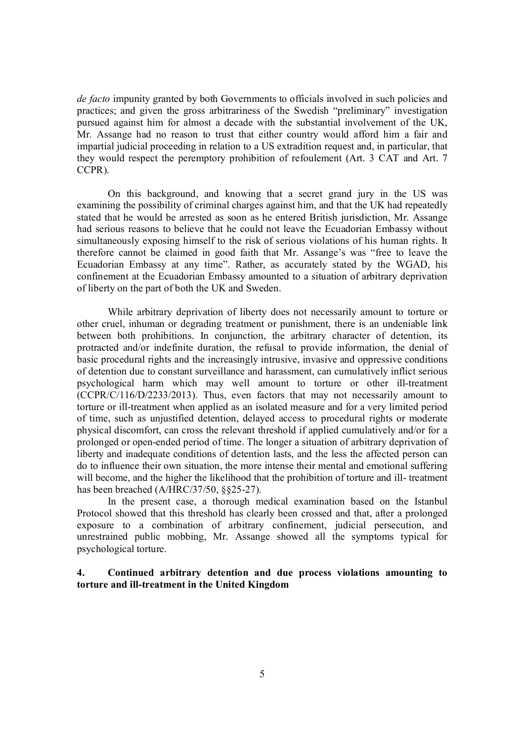*de facto* impunity granted by both Governments to officials involved in such policies and practices; and given the gross arbitrariness of the Swedish "preliminary" investigation pursued against him for almost a decade with the substantial involvement of the UK, Mr. Assange had no reason to trust that either country would afford him a fair and impartial judicial proceeding in relation to a US extradition request and, in particular, that they would respect the peremptory prohibition of refoulement (Art. 3 CAT and Art. 7 CCPR).

On this background, and knowing that a secret grand jury in the US was examining the possibility of criminal charges against him, and that the UK had repeatedly stated that he would be arrested as soon as he entered British jurisdiction, Mr. Assange had serious reasons to believe that he could not leave the Ecuadorian Embassy without simultaneously exposing himself to the risk of serious violations of his human rights. It therefore cannot be claimed in good faith that Mr. Assange's was "free to leave the Ecuadorian Embassy at any time". Rather, as accurately stated by the WGAD, his confinement at the Ecuadorian Embassy amounted to a situation of arbitrary deprivation of liberty on the part of both the UK and Sweden.

While arbitrary deprivation of liberty does not necessarily amount to torture or other cruel, inhuman or degrading treatment or punishment, there is an undeniable link between both prohibitions. In conjunction, the arbitrary character of detention, its protracted and/or indefinite duration, the refusal to provide information, the denial of basic procedural rights and the increasingly intrusive, invasive and oppressive conditions of detention due to constant surveillance and harassment, can cumulatively inflict serious psychological harm which may well amount to torture or other ill-treatment (CCPR/C/116/D/2233/2013). Thus, even factors that may not necessarily amount to torture or ill-treatment when applied as an isolated measure and for a very limited period of time, such as unjustified detention, delayed access to procedural rights or moderate physical discomfort, can cross the relevant threshold if applied cumulatively and/or for a prolonged or open-ended period of time. The longer a situation of arbitrary deprivation of liberty and inadequate conditions of detention lasts, and the less the affected person can do to influence their own situation, the more intense their mental and emotional suffering will become, and the higher the likelihood that the prohibition of torture and ill- treatment has been breached (A/HRC/37/50, §§25-27).

In the present case, a thorough medical examination based on the Istanbul Protocol showed that this threshold has clearly been crossed and that, after a prolonged exposure to a combination of arbitrary confinement, judicial persecution, and unrestrained public mobbing, Mr. Assange showed all the symptoms typical for psychological torture.

# **4. Continued arbitrary detention and due process violations amounting to torture and ill-treatment in the United Kingdom**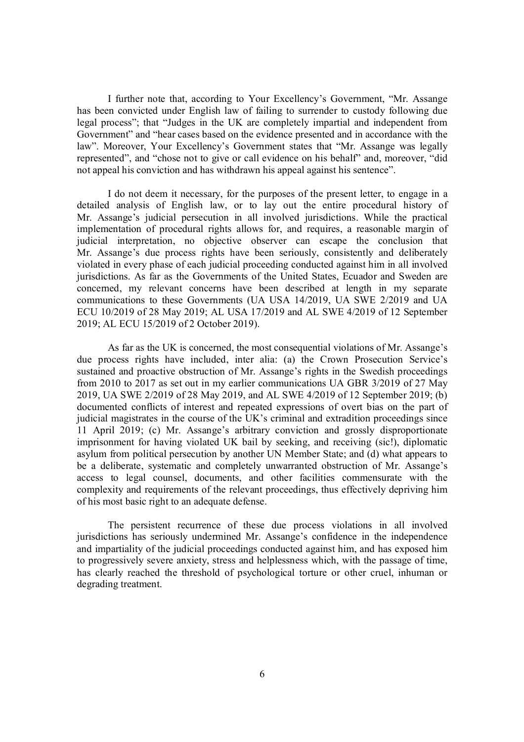I further note that, according to Your Excellency's Government, "Mr. Assange has been convicted under English law of failing to surrender to custody following due legal process"; that "Judges in the UK are completely impartial and independent from Government" and "hear cases based on the evidence presented and in accordance with the law". Moreover, Your Excellency's Government states that "Mr. Assange was legally represented", and "chose not to give or call evidence on his behalf" and, moreover, "did not appeal his conviction and has withdrawn his appeal against his sentence".

I do not deem it necessary, for the purposes of the present letter, to engage in a detailed analysis of English law, or to lay out the entire procedural history of Mr. Assange's judicial persecution in all involved jurisdictions. While the practical implementation of procedural rights allows for, and requires, a reasonable margin of judicial interpretation, no objective observer can escape the conclusion that Mr. Assange's due process rights have been seriously, consistently and deliberately violated in every phase of each judicial proceeding conducted against him in all involved jurisdictions. As far as the Governments of the United States, Ecuador and Sweden are concerned, my relevant concerns have been described at length in my separate communications to these Governments (UA USA 14/2019, UA SWE 2/2019 and UA ECU 10/2019 of 28 May 2019; AL USA 17/2019 and AL SWE 4/2019 of 12 September 2019; AL ECU 15/2019 of 2 October 2019).

As far as the UK is concerned, the most consequential violations of Mr. Assange's due process rights have included, inter alia: (a) the Crown Prosecution Service's sustained and proactive obstruction of Mr. Assange's rights in the Swedish proceedings from 2010 to 2017 as set out in my earlier communications UA GBR 3/2019 of 27 May 2019, UA SWE 2/2019 of 28 May 2019, and AL SWE 4/2019 of 12 September 2019; (b) documented conflicts of interest and repeated expressions of overt bias on the part of judicial magistrates in the course of the UK's criminal and extradition proceedings since 11 April 2019; (c) Mr. Assange's arbitrary conviction and grossly disproportionate imprisonment for having violated UK bail by seeking, and receiving (sic!), diplomatic asylum from political persecution by another UN Member State; and (d) what appears to be a deliberate, systematic and completely unwarranted obstruction of Mr. Assange's access to legal counsel, documents, and other facilities commensurate with the complexity and requirements of the relevant proceedings, thus effectively depriving him of his most basic right to an adequate defense.

The persistent recurrence of these due process violations in all involved jurisdictions has seriously undermined Mr. Assange's confidence in the independence and impartiality of the judicial proceedings conducted against him, and has exposed him to progressively severe anxiety, stress and helplessness which, with the passage of time, has clearly reached the threshold of psychological torture or other cruel, inhuman or degrading treatment.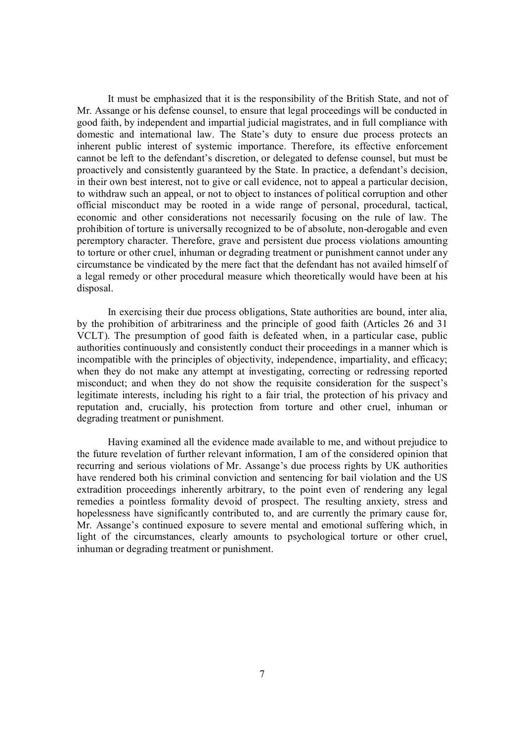It must be emphasized that it is the responsibility of the British State, and not of Mr. Assange or his defense counsel, to ensure that legal proceedings will be conducted in good faith, by independent and impartial judicial magistrates, and in full compliance with domestic and international law. The State's duty to ensure due process protects an inherent public interest of systemic importance. Therefore, its effective enforcement cannot be left to the defendant's discretion, or delegated to defense counsel, but must be proactively and consistently guaranteed by the State. In practice, a defendant's decision, in their own best interest, not to give or call evidence, not to appeal a particular decision, to withdraw such an appeal, or not to object to instances of political corruption and other official misconduct may be rooted in a wide range of personal, procedural, tactical, economic and other considerations not necessarily focusing on the rule of law. The prohibition of torture is universally recognized to be of absolute, non-derogable and even peremptory character. Therefore, grave and persistent due process violations amounting to torture or other cruel, inhuman or degrading treatment or punishment cannot under any circumstance be vindicated by the mere fact that the defendant has not availed himself of a legal remedy or other procedural measure which theoretically would have been at his disposal.

In exercising their due process obligations, State authorities are bound, inter alia, by the prohibition of arbitrariness and the principle of good faith (Articles 26 and 31 VCLT). The presumption of good faith is defeated when, in a particular case, public authorities continuously and consistently conduct their proceedings in a manner which is incompatible with the principles of objectivity, independence, impartiality, and efficacy; when they do not make any attempt at investigating, correcting or redressing reported misconduct; and when they do not show the requisite consideration for the suspect's legitimate interests, including his right to a fair trial, the protection of his privacy and reputation and, crucially, his protection from torture and other cruel, inhuman or degrading treatment or punishment.

Having examined all the evidence made available to me, and without prejudice to the future revelation of further relevant information, I am of the considered opinion that recurring and serious violations of Mr. Assange's due process rights by UK authorities have rendered both his criminal conviction and sentencing for bail violation and the US extradition proceedings inherently arbitrary, to the point even of rendering any legal remedies a pointless formality devoid of prospect. The resulting anxiety, stress and hopelessness have significantly contributed to, and are currently the primary cause for, Mr. Assange's continued exposure to severe mental and emotional suffering which, in light of the circumstances, clearly amounts to psychological torture or other cruel, inhuman or degrading treatment or punishment.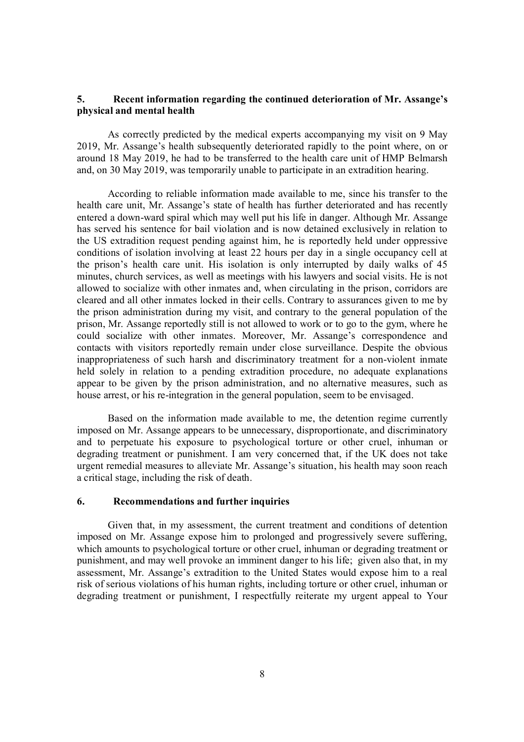#### **5. Recent information regarding the continued deterioration of Mr. Assange's physical and mental health**

As correctly predicted by the medical experts accompanying my visit on 9 May 2019, Mr. Assange's health subsequently deteriorated rapidly to the point where, on or around 18 May 2019, he had to be transferred to the health care unit of HMP Belmarsh and, on 30 May 2019, was temporarily unable to participate in an extradition hearing.

According to reliable information made available to me, since his transfer to the health care unit, Mr. Assange's state of health has further deteriorated and has recently entered a down-ward spiral which may well put his life in danger. Although Mr. Assange has served his sentence for bail violation and is now detained exclusively in relation to the US extradition request pending against him, he is reportedly held under oppressive conditions of isolation involving at least 22 hours per day in a single occupancy cell at the prison's health care unit. His isolation is only interrupted by daily walks of 45 minutes, church services, as well as meetings with his lawyers and social visits. He is not allowed to socialize with other inmates and, when circulating in the prison, corridors are cleared and all other inmates locked in their cells. Contrary to assurances given to me by the prison administration during my visit, and contrary to the general population of the prison, Mr. Assange reportedly still is not allowed to work or to go to the gym, where he could socialize with other inmates. Moreover, Mr. Assange's correspondence and contacts with visitors reportedly remain under close surveillance. Despite the obvious inappropriateness of such harsh and discriminatory treatment for a non-violent inmate held solely in relation to a pending extradition procedure, no adequate explanations appear to be given by the prison administration, and no alternative measures, such as house arrest, or his re-integration in the general population, seem to be envisaged.

Based on the information made available to me, the detention regime currently imposed on Mr. Assange appears to be unnecessary, disproportionate, and discriminatory and to perpetuate his exposure to psychological torture or other cruel, inhuman or degrading treatment or punishment. I am very concerned that, if the UK does not take urgent remedial measures to alleviate Mr. Assange's situation, his health may soon reach a critical stage, including the risk of death.

#### **6. Recommendations and further inquiries**

Given that, in my assessment, the current treatment and conditions of detention imposed on Mr. Assange expose him to prolonged and progressively severe suffering, which amounts to psychological torture or other cruel, inhuman or degrading treatment or punishment, and may well provoke an imminent danger to his life; given also that, in my assessment, Mr. Assange's extradition to the United States would expose him to a real risk of serious violations of his human rights, including torture or other cruel, inhuman or degrading treatment or punishment, I respectfully reiterate my urgent appeal to Your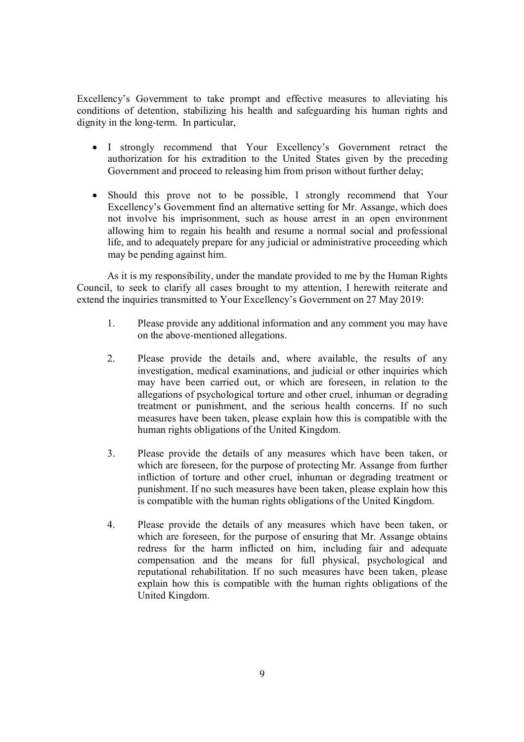Excellency's Government to take prompt and effective measures to alleviating his conditions of detention, stabilizing his health and safeguarding his human rights and dignity in the long-term. In particular,

- I strongly recommend that Your Excellency's Government retract the authorization for his extradition to the United States given by the preceding Government and proceed to releasing him from prison without further delay;
- Should this prove not to be possible, I strongly recommend that Your Excellency's Government find an alternative setting for Mr. Assange, which does not involve his imprisonment, such as house arrest in an open environment allowing him to regain his health and resume a normal social and professional life, and to adequately prepare for any judicial or administrative proceeding which may be pending against him.

As it is my responsibility, under the mandate provided to me by the Human Rights Council, to seek to clarify all cases brought to my attention, I herewith reiterate and extend the inquiries transmitted to Your Excellency's Government on 27 May 2019:

- 1. Please provide any additional information and any comment you may have on the above-mentioned allegations.
- 2. Please provide the details and, where available, the results of any investigation, medical examinations, and judicial or other inquiries which may have been carried out, or which are foreseen, in relation to the allegations of psychological torture and other cruel, inhuman or degrading treatment or punishment, and the serious health concerns. If no such measures have been taken, please explain how this is compatible with the human rights obligations of the United Kingdom.
- 3. Please provide the details of any measures which have been taken, or which are foreseen, for the purpose of protecting Mr. Assange from further infliction of torture and other cruel, inhuman or degrading treatment or punishment. If no such measures have been taken, please explain how this is compatible with the human rights obligations of the United Kingdom.
- 4. Please provide the details of any measures which have been taken, or which are foreseen, for the purpose of ensuring that Mr. Assange obtains redress for the harm inflicted on him, including fair and adequate compensation and the means for full physical, psychological and reputational rehabilitation. If no such measures have been taken, please explain how this is compatible with the human rights obligations of the United Kingdom.